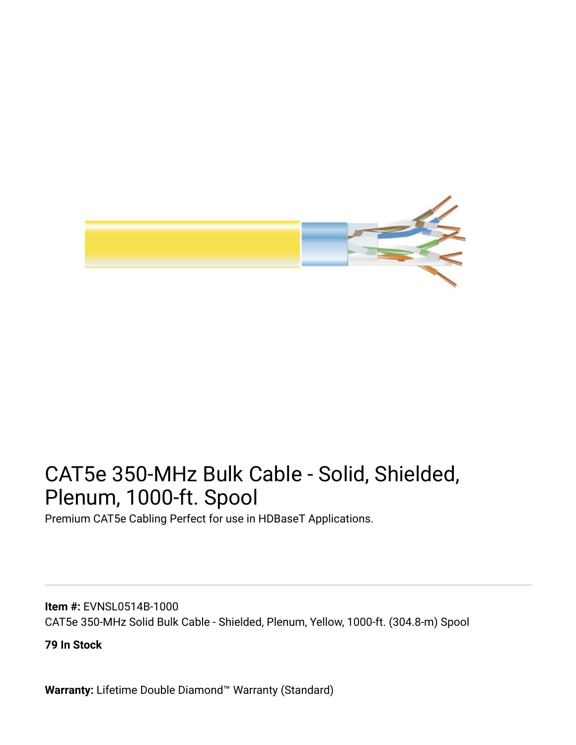

# CAT5e 350-MHz Bulk Cable - Solid, Shielded, Plenum, 1000-ft. Spool

Premium CAT5e Cabling Perfect for use in HDBaseT Applications.

**Item #:** EVNSL0514B-1000 CAT5e 350-MHz Solid Bulk Cable - Shielded, Plenum, Yellow, 1000-ft. (304.8-m) Spool

**79 In Stock**

**Warranty:** Lifetime Double Diamond™ Warranty (Standard)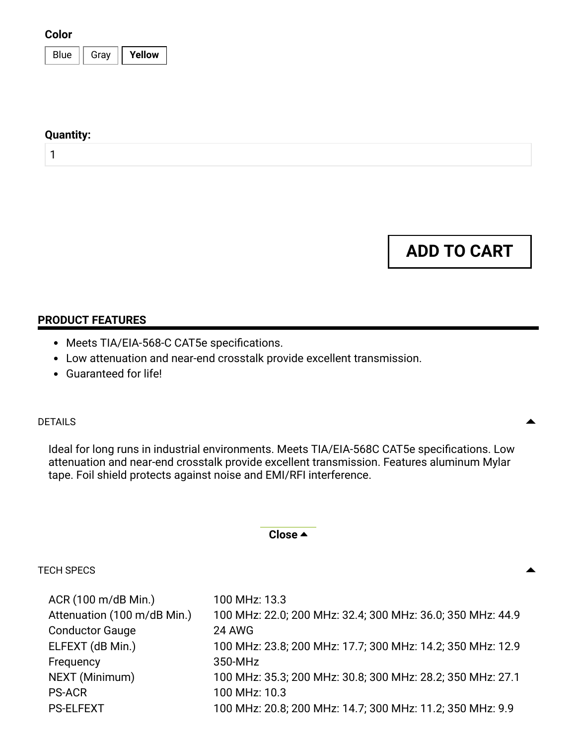#### **Color**

| Е<br>۱۵<br>∹ਬ∨ |  |
|----------------|--|
|----------------|--|

#### **Quantity:**

1

**ADD TO CART**

### **PRODUCT FEATURES**

- Meets TIA/EIA-568-C CAT5e specifications.
- Low attenuation and near-end crosstalk provide excellent transmission.
- Guaranteed for life!

# $\blacksquare$

Ideal for long runs in industrial environments. Meets TIA/EIA-568C CAT5e specifications. Low attenuation and near-end crosstalk provide excellent transmission. Features aluminum Mylar tape. Foil shield protects against noise and EMI/RFI interference.

### **Close**

# TECH SPECS

| ACR (100 m/dB Min.)         | 100 MHz: 13.3                                              |
|-----------------------------|------------------------------------------------------------|
| Attenuation (100 m/dB Min.) | 100 MHz: 22.0; 200 MHz: 32.4; 300 MHz: 36.0; 350 MHz: 44.9 |
| <b>Conductor Gauge</b>      | <b>24 AWG</b>                                              |
| ELFEXT (dB Min.)            | 100 MHz: 23.8; 200 MHz: 17.7; 300 MHz: 14.2; 350 MHz: 12.9 |
| Frequency                   | 350-MHz                                                    |
| NEXT (Minimum)              | 100 MHz: 35.3; 200 MHz: 30.8; 300 MHz: 28.2; 350 MHz: 27.1 |
| <b>PS-ACR</b>               | 100 MHz: 10.3                                              |
| <b>PS-ELFEXT</b>            | 100 MHz: 20.8; 200 MHz: 14.7; 300 MHz: 11.2; 350 MHz: 9.9  |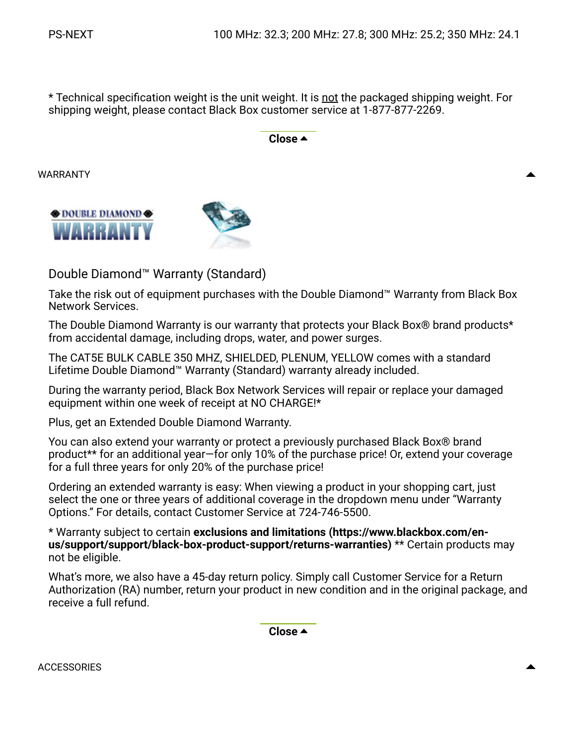\* Technical specification weight is the unit weight. It is not the packaged shipping weight. For shipping weight, please contact Black Box customer service at 1-877-877-2269.

**Close** 

WARRANTY





Double Diamond™ Warranty (Standard)

Take the risk out of equipment purchases with the Double Diamond™ Warranty from Black Box Network Services.

The Double Diamond Warranty is our warranty that protects your Black Box® brand products\* from accidental damage, including drops, water, and power surges.

The CAT5E BULK CABLE 350 MHZ, SHIELDED, PLENUM, YELLOW comes with a standard Lifetime Double Diamond™ Warranty (Standard) warranty already included.

During the warranty period, Black Box Network Services will repair or replace your damaged equipment within one week of receipt at NO CHARGE!\*

Plus, get an Extended Double Diamond Warranty.

You can also extend your warranty or protect a previously purchased Black Box® brand product\*\* for an additional year—for only 10% of the purchase price! Or, extend your coverage for a full three years for only 20% of the purchase price!

Ordering an extended warranty is easy: When viewing a product in your shopping cart, just select the one or three years of additional coverage in the dropdown menu under "Warranty Options." For details, contact Customer Service at 724-746-5500.

\* Warranty subject to certain **exclusions and limitations (https://www.blackbox.com/en[us/support/support/black-box-product-support/returns-warranties\)](https://www.blackbox.com/en-us/support/support/black-box-product-support/returns-warranties)** \*\* Certain products may not be eligible.

What's more, we also have a 45-day return policy. Simply call Customer Service for a Return Authorization (RA) number, return your product in new condition and in the original package, and receive a full refund.

**Close** 

ACCESSORIES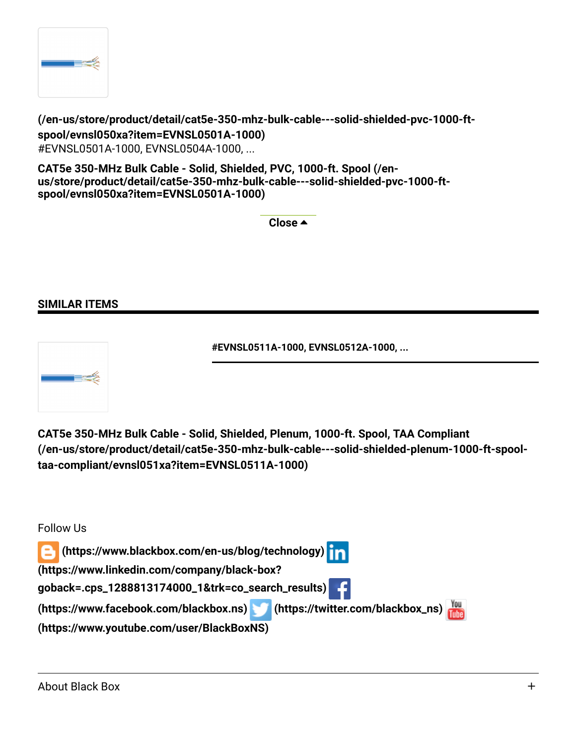

**[\(/en-us/store/product/detail/cat5e-350-mhz-bulk-cable---solid-shielded-pvc-1000-ft](https://www.blackbox.com/en-us/store/product/detail/cat5e-350-mhz-bulk-cable---solid-shielded-pvc-1000-ft-spool/evnsl050xa?item=EVNSL0501A-1000)spool/evnsl050xa?item=EVNSL0501A-1000)** #EVNSL0501A-1000, EVNSL0504A-1000, ...

**CAT5e 350-MHz Bulk Cable - Solid, Shielded, PVC, 1000-ft. Spool (/en[us/store/product/detail/cat5e-350-mhz-bulk-cable---solid-shielded-pvc-1000-ft](https://www.blackbox.com/en-us/store/product/detail/cat5e-350-mhz-bulk-cable---solid-shielded-pvc-1000-ft-spool/evnsl050xa?item=EVNSL0501A-1000)spool/evnsl050xa?item=EVNSL0501A-1000)**

**Close** 

### **SIMILAR ITEMS**





**[\(/en-us/store/product/detail/cat5e-350-mhz-bulk-cable---solid-shielded-plenum-1000-ft-spool](https://www.blackbox.com/en-us/store/product/detail/cat5e-350-mhz-bulk-cable---solid-shielded-plenum-1000-ft-spool-taa-compliant/evnsl051xa?item=EVNSL0511A-1000)taa-compliant/evnsl051xa?item=EVNSL0511A-1000) CAT5e 350-MHz Bulk Cable - Solid, Shielded, Plenum, 1000-ft. Spool, TAA Compliant**

Follow Us  **[\(https://www.blackbox.com/en-us/blog/technology\)](https://www.blackbox.com/en-us/blog/technology) (https://www.linkedin.com/company/black-box? [goback=.cps\\_1288813174000\\_1&trk=co\\_search\\_results\)](https://www.linkedin.com/company/black-box?goback=.cps_1288813174000_1&trk=co_search_results) [\(https://www.facebook.com/blackbox.ns\)](https://www.youtube.com/user/BlackBoxNS) [\(https://twitter.com/blackbox\\_ns\)](https://twitter.com/blackbox_ns) (https://www.youtube.com/user/BlackBoxNS)**